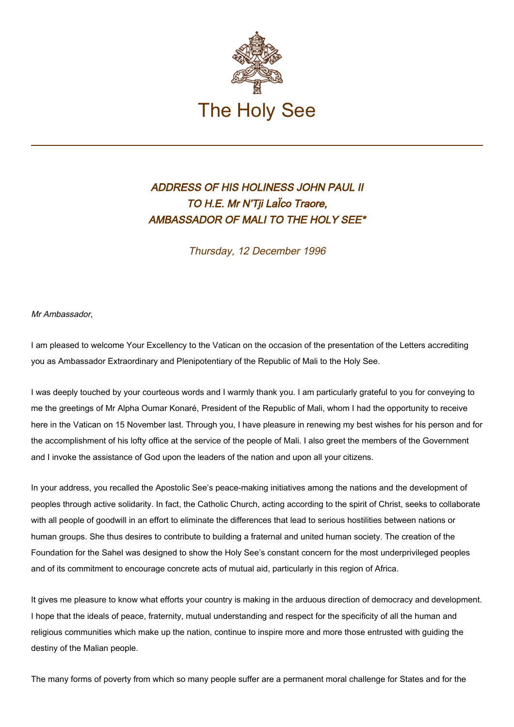

## ADDRESS OF HIS HOLINESS JOHN PAUL II TO H.E. Mr N'Tji LaÏco Traore, AMBASSADOR OF MALI TO THE HOLY SEE\*

Thursday, 12 December 1996

Mr Ambassador,

I am pleased to welcome Your Excellency to the Vatican on the occasion of the presentation of the Letters accrediting you as Ambassador Extraordinary and Plenipotentiary of the Republic of Mali to the Holy See.

I was deeply touched by your courteous words and I warmly thank you. I am particularly grateful to you for conveying to me the greetings of Mr Alpha Oumar Konaré, President of the Republic of Mali, whom I had the opportunity to receive here in the Vatican on 15 November last. Through you, I have pleasure in renewing my best wishes for his person and for the accomplishment of his lofty office at the service of the people of Mali. I also greet the members of the Government and I invoke the assistance of God upon the leaders of the nation and upon all your citizens.

In your address, you recalled the Apostolic See's peace-making initiatives among the nations and the development of peoples through active solidarity. In fact, the Catholic Church, acting according to the spirit of Christ, seeks to collaborate with all people of goodwill in an effort to eliminate the differences that lead to serious hostilities between nations or human groups. She thus desires to contribute to building a fraternal and united human society. The creation of the Foundation for the Sahel was designed to show the Holy See's constant concern for the most underprivileged peoples and of its commitment to encourage concrete acts of mutual aid, particularly in this region of Africa.

It gives me pleasure to know what efforts your country is making in the arduous direction of democracy and development. I hope that the ideals of peace, fraternity, mutual understanding and respect for the specificity of all the human and religious communities which make up the nation, continue to inspire more and more those entrusted with guiding the destiny of the Malian people.

The many forms of poverty from which so many people suffer are a permanent moral challenge for States and for the